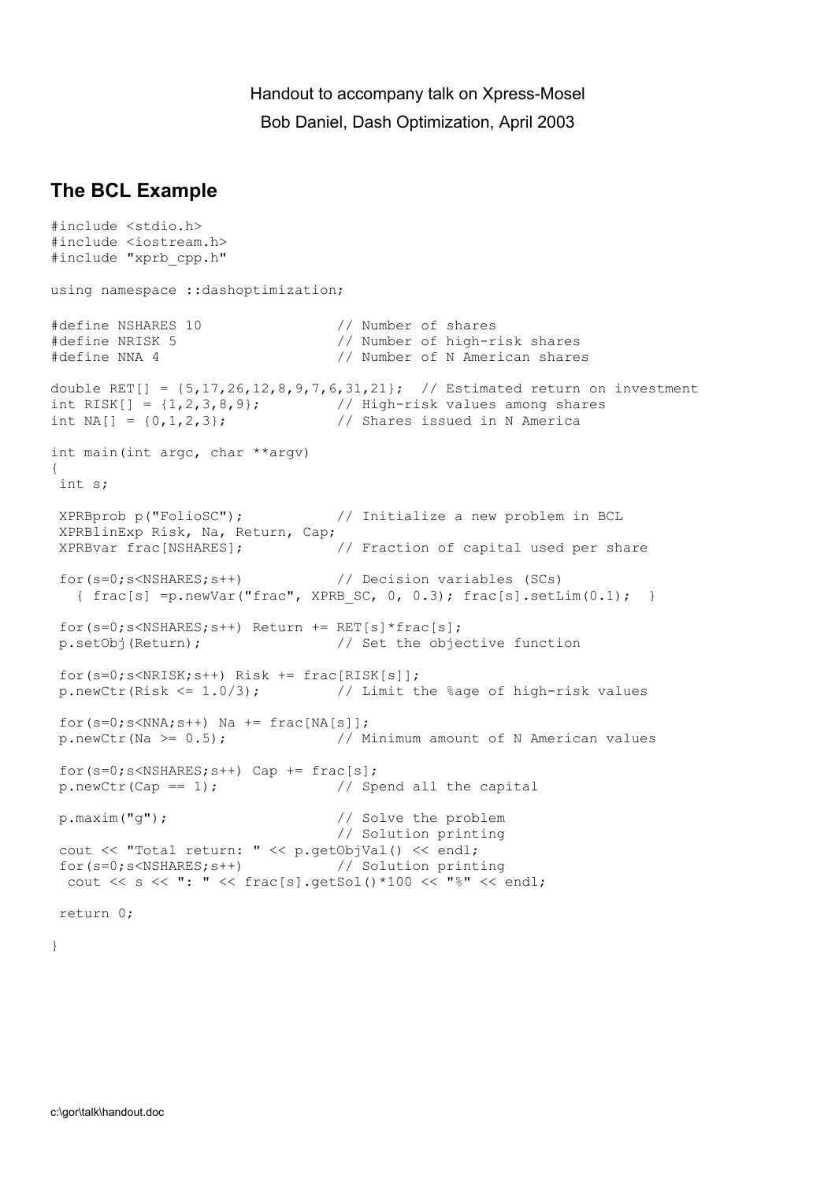## Handout to accompany talk on Xpress-Mosel Bob Daniel, Dash Optimization, April 2003

## **The BCL Example**

```
#include <stdio.h> 
#include <iostream.h> 
#include "xprb_cpp.h" 
using namespace :: dashoptimization;
#define NSHARES 10 // Number of shares 
#define NRISK 5 // Number of high-risk shares 
#define NNA 4 // Number of N American shares 
double RET[] = {5,17,26,12,8,9,7,6,31,21}; // Estimated return on investment 
int RISK[] = \{1, 2, 3, 8, 9\}; // High-risk values among shares
int NA[] = \{0, 1, 2, 3\}; \frac{1}{2} // Shares issued in N America
int main(int argc, char **argv) 
{ 
 int s; 
 XPRBprob p("FolioSC"); // Initialize a new problem in BCL 
 XPRBlinExp Risk, Na, Return, Cap; 
 XPRBvar frac[NSHARES]; // Fraction of capital used per share 
 for(s=0;s<NSHARES;s++) // Decision variables (SCs) 
  { frac[s] = p.newVar("frac", XPRB SC, 0, 0.3); frac[s].setLim(0.1); }for(s=0;s<NSHARES;s++) Return += \text{RET}[s] * \text{frac}[s];
 p.setObj(Return); // Set the objective function 
 for(s=0;s<NRISK;s++) Risk += frac[RISK[s]]; 
 p.newCtr(Risk <= 1.0/3); // Limit the %age of high-risk values 
for(s=0;s<NNA;s++) Na += frac[NA[s]];
 p.newCtr(Na >= 0.5); // Minimum amount of N American values 
 for(s=0;s<NSHARES;s++) Cap += frac[s]; 
p.newCtr(Cap == 1); \frac{1}{2} Spend all the capital
 p.maxim("g"); // Solve the problem 
                                 // Solution printing 
 cout << "Total return: " << p.getObjVal() << endl; 
 for(s=0;s<NSHARES;s++) // Solution printing 
  cout << s << ": " << frac[s].getSol()*100 << "%" << endl; 
 return 0;
```
}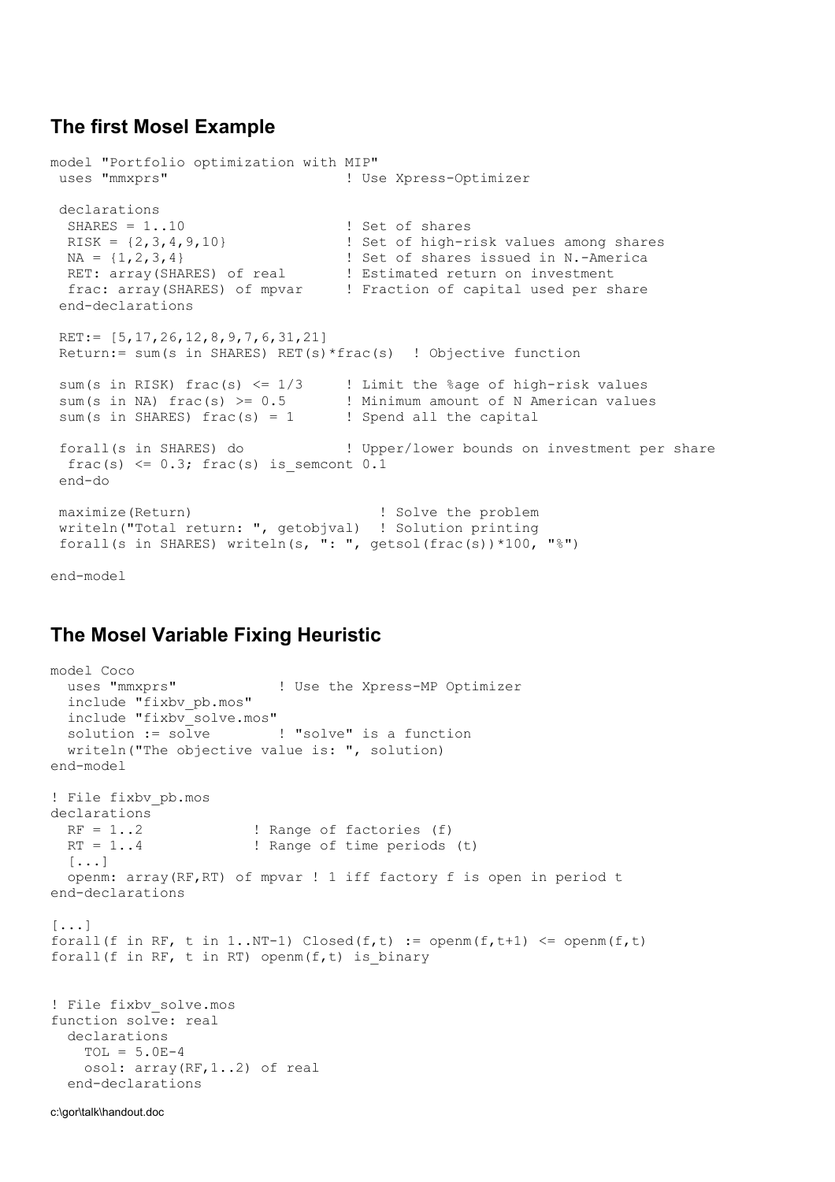### **The first Mosel Example**

```
model "Portfolio optimization with MIP" 
uses "mmxprs" | Use Xpress-Optimizer
declarations<br>SHARES = 1.10SHARES = 1..10 <br>RISK = {2,3,4,9,10} <br>PSet of high-r
 RISK = \{2, 3, 4, 9, 10\}<br>
NA = \{1, 2, 3, 4\}<br>
Set of shares issued in N.-America! Set of shares issued in N.-America
RET: array(SHARES) of real | Estimated return on investment
 frac: array(SHARES) of mpvar ! Fraction of capital used per share 
  end-declarations 
RET:= [5,17,26,12,8,9,7,6,31,21]
 Return:= sum(s in SHARES) RET(s)*frac(s) ! Objective function 
sum(s in RISK) frac(s) \leq 1/3 ! Limit the %age of high-risk values
sum(s in NA) frac(s) >= 0.5 ! Minimum amount of N American values
sum(s in NA) frac(s) > = 0.5<br>
sum(s in SHARES) frac(s) = 1 <br>
! Spend all the capital
 forall(s in SHARES) do ! Upper/lower bounds on investment per share 
 frac(s) \leq 0.3; frac(s) is semcont 0.1
  end-do 
maximize(Return) 1. Solve the problem
 writeln("Total return: ", getobjval) ! Solution printing 
 forall(s in SHARES) writeln(s, ": ", getsol(frac(s))*100, "%")
```
end-model

#### **The Mosel Variable Fixing Heuristic**

```
model Coco 
  uses "mmxprs" ! Use the Xpress-MP Optimizer 
   include "fixbv_pb.mos" 
  include "fixbv solve.mos"
  solution := solve ! "solve" is a function
   writeln("The objective value is: ", solution) 
end-model 
! File fixbv_pb.mos 
declarations RF = 1..2! Range of factories (f)
 RT = 1.4 ! Range of time periods (t)
  [...] 
  openm: array(RF,RT) of mpvar ! 1 iff factory f is open in period t 
end-declarations 
[\ldots]forall(f in RF, t in 1..NT-1) Closed(f,t) := openm(f,t+1) <= openm(f,t)
forall(f in RF, t in RT) openm(f,t) is binary
! File fixbv_solve.mos 
function solve: real
   declarations 
   TOL = 5.0E-4 osol: array(RF,1..2) of real 
   end-declarations
```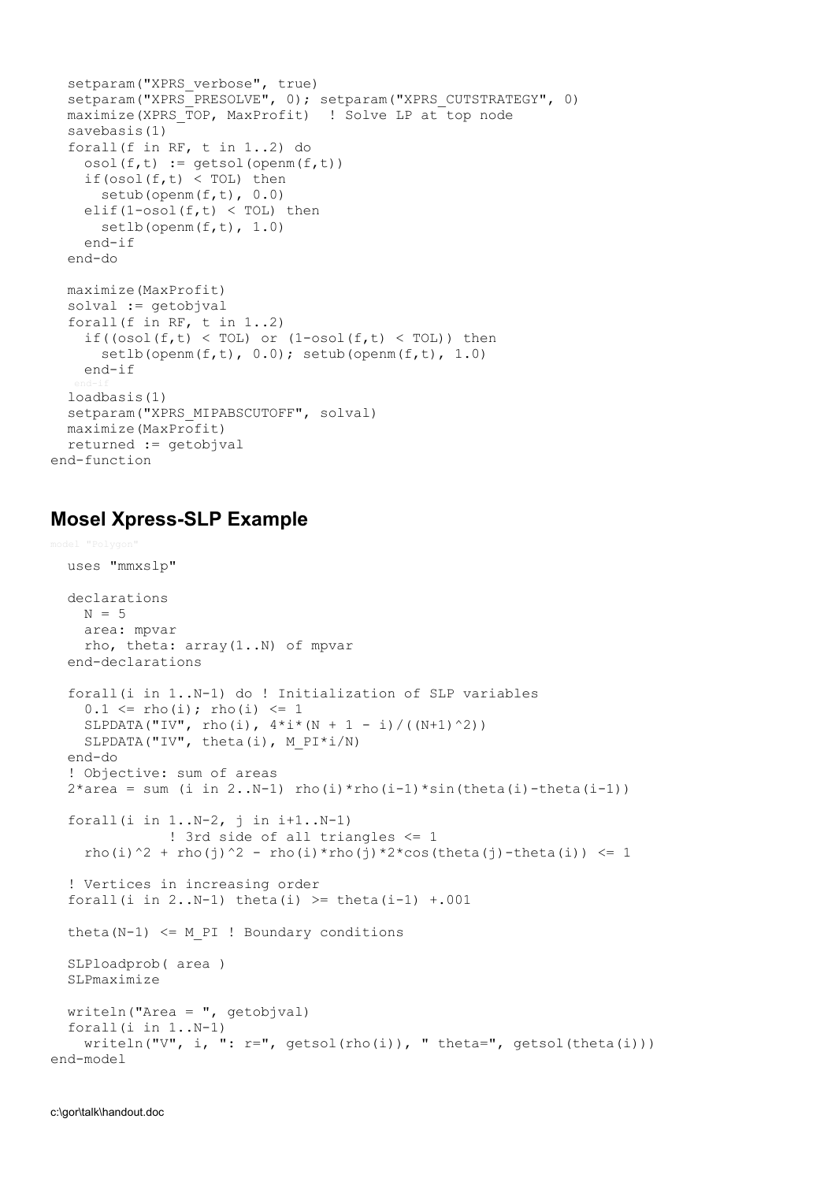```
setparam("XPRS_verbose", true)
  setparam("XPRS_PRESOLVE", 0); setparam("XPRS_CUTSTRATEGY", 0)
  maximize(XPRS TOP, MaxProfit) ! Solve LP at top node
   savebasis(1) 
   forall(f in RF, t in 1..2) do 
    osol(f, t) := \text{qetsol}(\text{openm}(f, t))if(\text{osol}(f,t) < TOL) then
      setub(openm(f,t), 0.0)
    elif(1-osol(f,t) \langle TOL) then
      setlb(openm(f,t), 1.0)
     end-if 
   end-do 
   maximize(MaxProfit) 
   solval := getobjval 
  forall(f in RF, t in 1..2)
    if((osol(f,t) < TOL) or (1\text{-}osol(f,t) < TOL)) then
      setlb(openm(f,t), 0.0); setub(openm(f,t), 1.0)
     end-if 
   loadbasis(1) 
  setparam("XPRS_MIPABSCUTOFF", solval)
  maximize(MaxProfit) 
   returned := getobjval 
end-function
```
#### **Mosel Xpress-SLP Example**

```
 uses "mmxslp" 
   declarations 
   N = 5 area: mpvar 
     rho, theta: array(1..N) of mpvar 
   end-declarations 
   forall(i in 1..N-1) do ! Initialization of SLP variables 
    0.1 \le r \text{ho}(i); rho(i) \le 1<code>SLPDATA("IV", rho(i), 4*i*(N + 1 - i)/((N+1)^2))</code>
    SLPDATA("IV", theta(i), M PI*i/N)
   end-do 
   ! Objective: sum of areas
  2*area = sum (i in 2..N-1) rho(i)*rho(i-1)*sin(theta(i)-theta(i-1)) forall(i in 1..N-2, j in i+1..N-1) 
                ! 3rd side of all triangles <= 1 
    rho(i)^2 + rho(j)^2 - rho(i)*rho(j)*2*cos(theta(j)-theta(i)) <= 1
   ! Vertices in increasing order 
  forall(i in 2..N-1) theta(i) >= theta(i-1) +.001
  theta(N-1) \leq M PI ! Boundary conditions
   SLPloadprob( area ) 
   SLPmaximize 
  writeln("Area = ", qetobjval)
   forall(i in 1..N-1) 
    writeln("V", i, ": r =", qetsol(rho(i)), "theta=", qetsol(theta(i)))
end-model
```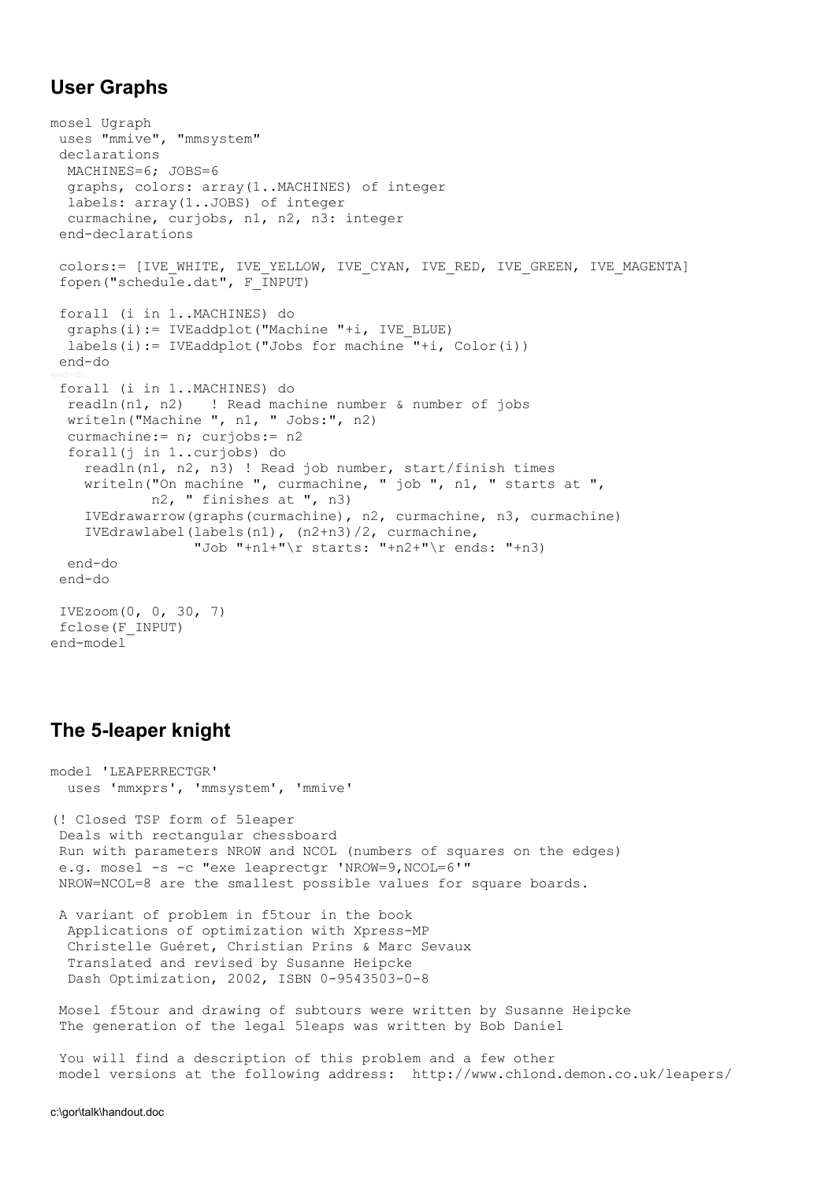# **User Graphs**

```
mosel Ugraph 
 uses "mmive", "mmsystem" 
  declarations 
  MACHINES=6; JOBS=6 
   graphs, colors: array(1..MACHINES) of integer 
  labels: array(1..JOBS) of integer 
  curmachine, curjobs, n1, n2, n3: integer 
  end-declarations 
 colors:= [IVE_WHITE, IVE_YELLOW, IVE_CYAN, IVE_RED, IVE_GREEN, IVE_MAGENTA]
 fopen("schedule.dat", F INPUT)
  forall (i in 1..MACHINES) do 
   graphs(i):= IVEaddplot("Machine "+i, IVE_BLUE) 
  labels(i):= IVEaddplot("Jobs for machine "+i, Color(i))
  end-do 
  forall (i in 1..MACHINES) do 
   readln(n1, n2) ! Read machine number & number of jobs 
   writeln("Machine ", n1, " Jobs:", n2) 
   curmachine:= n; curjobs:= n2 
   forall(j in 1..curjobs) do 
     readln(n1, n2, n3) ! Read job number, start/finish times 
     writeln("On machine ", curmachine, " job ", n1, " starts at ", 
             n2, " finishes at ", n3) 
     IVEdrawarrow(graphs(curmachine), n2, curmachine, n3, curmachine) 
     IVEdrawlabel(labels(n1), (n2+n3)/2, curmachine, 
                   "Job "+n1+"\r starts: "+n2+"\r ends: "+n3) 
   end-do 
  end-do 
 IVEzoom(0, 0, 30, 7) 
 fclose(F_INPUT) 
end-model
```
## **The 5-leaper knight**

```
model 'LEAPERRECTGR' 
  uses 'mmxprs', 'mmsystem', 'mmive'
```
(! Closed TSP form of 5leaper Deals with rectangular chessboard Run with parameters NROW and NCOL (numbers of squares on the edges) e.g. mosel -s -c "exe leaprectgr 'NROW=9,NCOL=6'" NROW=NCOL=8 are the smallest possible values for square boards.

 A variant of problem in f5tour in the book Applications of optimization with Xpress-MP Christelle Guéret, Christian Prins & Marc Sevaux Translated and revised by Susanne Heipcke Dash Optimization, 2002, ISBN 0-9543503-0-8

 Mosel f5tour and drawing of subtours were written by Susanne Heipcke The generation of the legal 5leaps was written by Bob Daniel

 You will find a description of this problem and a few other model versions at the following address: http://www.chlond.demon.co.uk/leapers/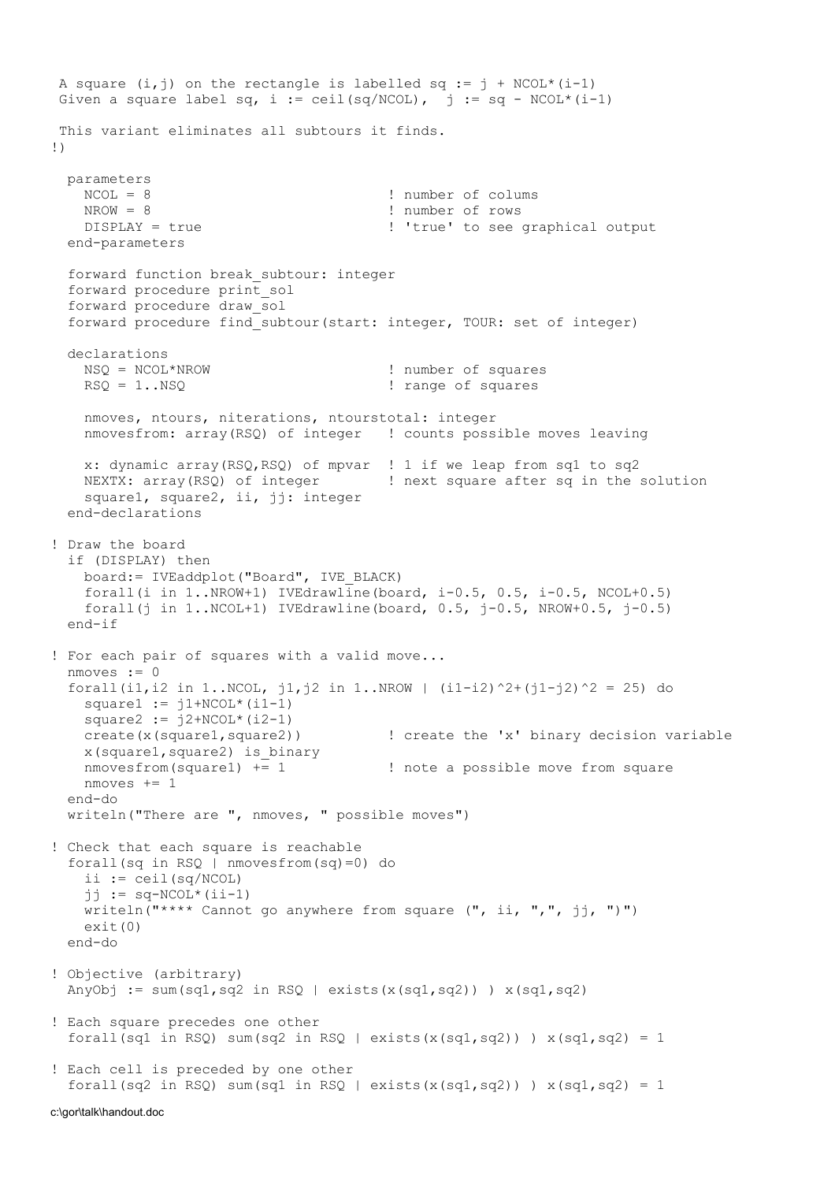A square  $(i, j)$  on the rectangle is labelled sq :=  $j + NCOL*(i-1)$ Given a square label sq, i := ceil(sq/NCOL), j := sq - NCOL\*(i-1) This variant eliminates all subtours it finds. !) parameters  $NCOL = 8$  ! number of colums<br> $NROM = 8$  ! number of rows NROW = 8 <br>DISPLAY = true 1999 : 1999 : 1999 : 1999 : 1999 : 1999 : 1999 : 1999 : 1999 : 1999 : 1999 : 1999 : 1999 : 199 ! 'true' to see graphical output end-parameters forward function break\_subtour: integer forward procedure print\_sol forward procedure draw\_sol forward procedure find\_subtour(start: integer, TOUR: set of integer) declarations NSQ = NCOL\*NROW ! number of squares RSQ = 1..NSQ  $\qquad \qquad$  ! range of squares nmoves, ntours, niterations, ntourstotal: integer nmovesfrom: array(RSQ) of integer ! counts possible moves leaving x: dynamic array(RSQ,RSQ) of mpvar ! 1 if we leap from sq1 to sq2 NEXTX: array(RSQ) of integer | next square after sq in the solution square1, square2, ii, jj: integer end-declarations ! Draw the board if (DISPLAY) then board:= IVEaddplot("Board", IVE\_BLACK) forall(i in  $1..NROW+1)$  IVEdrawline(board, i-0.5, 0.5, i-0.5, NCOL+0.5) forall(j in  $1..NCOL+1)$  IVEdrawline(board,  $0.5$ ,  $j-0.5$ , NROW+ $0.5$ ,  $j-0.5)$ ) end-if ! For each pair of squares with a valid move... nmoves := 0 forall(i1,i2 in 1..NCOL, j1,j2 in 1..NROW | (i1-i2)^2+(j1-j2)^2 = 25) do square $1 := j1+NCOL*(i1-1)$ square2 :=  $j2+NCOL*(i2-1)$  create(x(square1,square2)) ! create the 'x' binary decision variable x(square1,square2) is\_binary nmovesfrom(square1) += 1  $\qquad$  ! note a possible move from square  $n$ moves  $+= 1$  end-do writeln("There are ", nmoves, " possible moves") ! Check that each square is reachable forall(sq in RSQ | nmovesfrom(sq)=0) do ii :=  $ceil(sq/NCOL)$ jj :=  $sq-NCOL*(ii-1)$ writeln("\*\*\*\* Cannot go anywhere from square (", ii, ",", jj, ")") exit(0) end-do ! Objective (arbitrary) AnyObj := sum(sq1,sq2 in RSQ | exists(x(sq1,sq2)) )  $x(sq1,sq2)$ ! Each square precedes one other forall(sq1 in RSQ) sum(sq2 in RSQ | exists(x(sq1,sq2)) )  $x(sq1,sq2) = 1$ ! Each cell is preceded by one other forall(sq2 in RSQ) sum(sq1 in RSQ | exists(x(sq1,sq2)) )  $x(sq1,sq2) = 1$ 

c:\gor\talk\handout.doc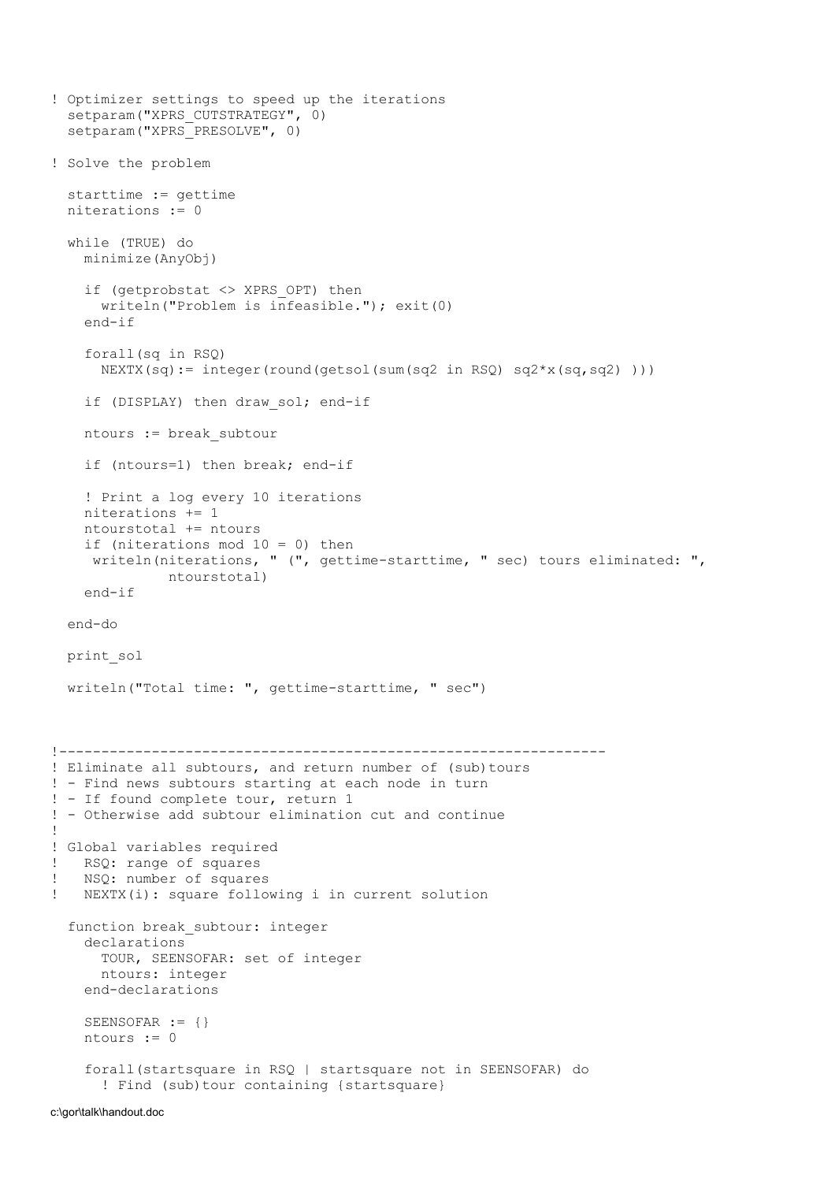```
! Optimizer settings to speed up the iterations 
  setparam("XPRS CUTSTRATEGY", 0)
  setparam("XPRS_PRESOLVE", 0)
! Solve the problem 
   starttime := gettime 
   niterations := 0 
   while (TRUE) do 
     minimize(AnyObj) 
     if (getprobstat <> XPRS_OPT) then 
       writeln("Problem is infeasible."); exit(0) 
     end-if 
     forall(sq in RSQ) 
      NEXTX(sq) := integer(round(getsol(sum(sq2 in RSQ) sq2*x(sq,sq2) )))
     if (DISPLAY) then draw_sol; end-if 
     ntours := break_subtour 
     if (ntours=1) then break; end-if 
     ! Print a log every 10 iterations 
     niterations += 1 
     ntourstotal += ntours 
     if (niterations mod 10 = 0) then 
    writeln(niterations, " (", gettime-starttime, " sec) tours eliminated: ",
               ntourstotal) 
     end-if 
   end-do 
   print_sol 
   writeln("Total time: ", gettime-starttime, " sec") 
!----------------------------------------------------------------- 
! Eliminate all subtours, and return number of (sub)tours
! - Find news subtours starting at each node in turn 
! - If found complete tour, return 1 
! - Otherwise add subtour elimination cut and continue 
! 
! Global variables required 
! RSQ: range of squares 
! NSQ: number of squares 
! NEXTX(i): square following i in current solution 
   function break_subtour: integer 
     declarations 
       TOUR, SEENSOFAR: set of integer 
      ntours: integer 
     end-declarations 
    SEENSOFAR := \{\} ntours := 0 
     forall(startsquare in RSQ | startsquare not in SEENSOFAR) do 
       ! Find (sub)tour containing {startsquare}
```
c:\gor\talk\handout.doc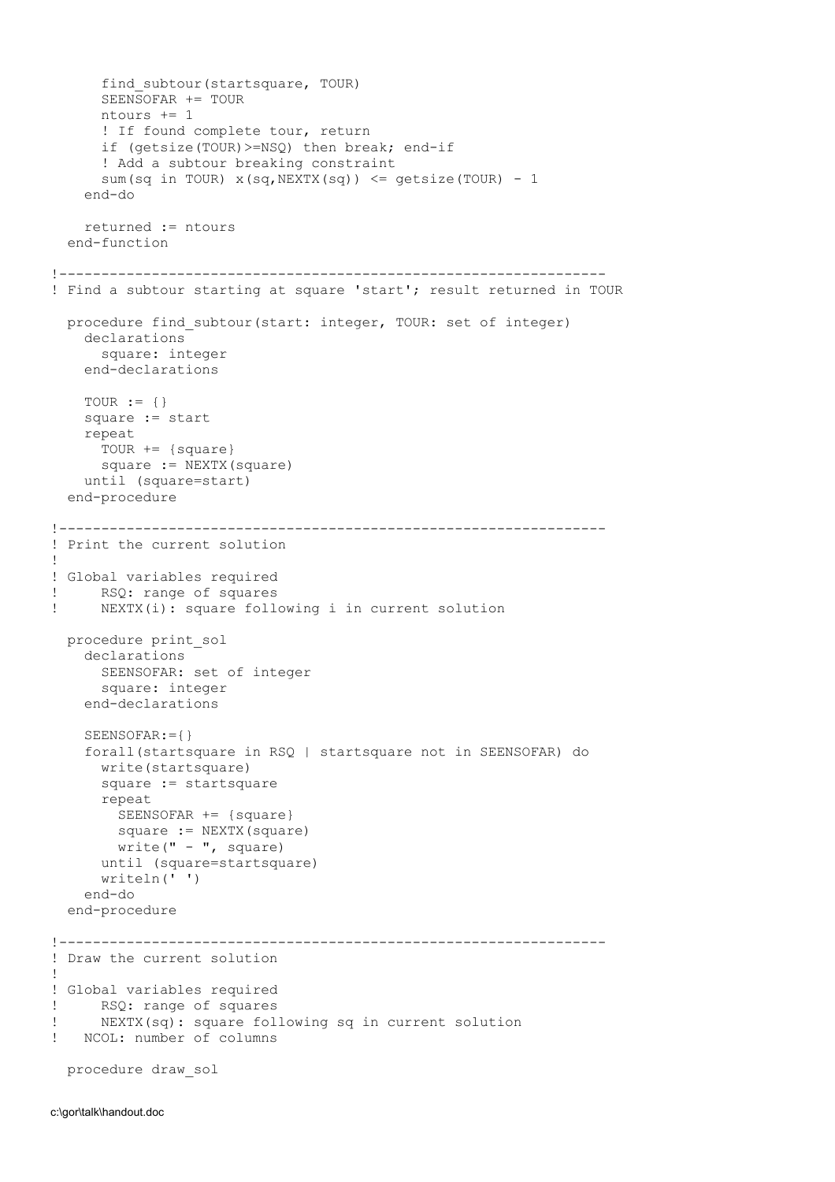```
find subtour(startsquare, TOUR)
       SEENSOFAR += TOUR 
       ntours += 1 
       ! If found complete tour, return 
       if (getsize(TOUR)>=NSQ) then break; end-if 
       ! Add a subtour breaking constraint 
      sum(sq in TOUR) x(sq,NEXTX(sq)) \leq qetsize(TOUR) - 1 end-do 
     returned := ntours 
   end-function 
!----------------------------------------------------------------- 
! Find a subtour starting at square 'start'; result returned in TOUR 
  procedure find subtour(start: integer, TOUR: set of integer)
     declarations 
       square: integer 
     end-declarations 
    TOUR := \{\} square := start 
     repeat 
       TOUR += {square} 
       square := NEXTX(square) 
     until (square=start) 
   end-procedure 
!----------------------------------------------------------------- 
! Print the current solution 
! 
! Global variables required 
! RSQ: range of squares 
! NEXTX(i): square following i in current solution 
   procedure print_sol 
     declarations 
      SEENSOFAR: set of integer 
       square: integer 
     end-declarations 
     SEENSOFAR:={} 
     forall(startsquare in RSQ | startsquare not in SEENSOFAR) do 
       write(startsquare) 
       square := startsquare 
       repeat 
         SEENSOFAR += {square} 
        square := NEXTX(square) 
        write(" - ", square)
       until (square=startsquare) 
       writeln(' ') 
     end-do 
   end-procedure 
!----------------------------------------------------------------- 
! Draw the current solution 
! 
! Global variables required 
! RSQ: range of squares 
! NEXTX(sq): square following sq in current solution 
! NCOL: number of columns 
   procedure draw_sol
```